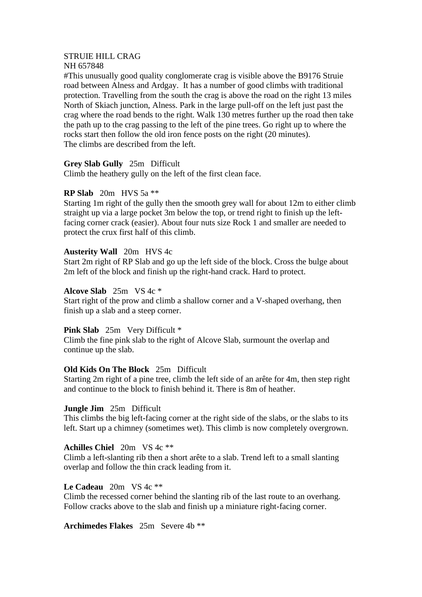# STRUIE HILL CRAG

## NH 657848

#This unusually good quality conglomerate crag is visible above the B9176 Struie road between Alness and Ardgay. It has a number of good climbs with traditional protection. Travelling from the south the crag is above the road on the right 13 miles North of Skiach junction, Alness. Park in the large pull-off on the left just past the crag where the road bends to the right. Walk 130 metres further up the road then take the path up to the crag passing to the left of the pine trees. Go right up to where the rocks start then follow the old iron fence posts on the right (20 minutes). The climbs are described from the left.

## **Grey Slab Gully** 25m Difficult

Climb the heathery gully on the left of the first clean face.

## **RP Slab** 20m HVS 5a \*\*

Starting 1m right of the gully then the smooth grey wall for about 12m to either climb straight up via a large pocket 3m below the top, or trend right to finish up the leftfacing corner crack (easier). About four nuts size Rock 1 and smaller are needed to protect the crux first half of this climb.

## **Austerity Wall** 20m HVS 4c

Start 2m right of RP Slab and go up the left side of the block. Cross the bulge about 2m left of the block and finish up the right-hand crack. Hard to protect.

## **Alcove Slab** 25m VS 4c \*

Start right of the prow and climb a shallow corner and a V-shaped overhang, then finish up a slab and a steep corner.

## **Pink Slab** 25m Very Difficult \*

Climb the fine pink slab to the right of Alcove Slab, surmount the overlap and continue up the slab.

## **Old Kids On The Block** 25m Difficult

Starting 2m right of a pine tree, climb the left side of an arête for 4m, then step right and continue to the block to finish behind it. There is 8m of heather.

## **Jungle Jim** 25m Difficult

This climbs the big left-facing corner at the right side of the slabs, or the slabs to its left. Start up a chimney (sometimes wet). This climb is now completely overgrown.

## **Achilles Chiel** 20m VS 4c \*\*

Climb a left-slanting rib then a short arête to a slab. Trend left to a small slanting overlap and follow the thin crack leading from it.

## **Le Cadeau** 20m VS 4c \*\*

Climb the recessed corner behind the slanting rib of the last route to an overhang. Follow cracks above to the slab and finish up a miniature right-facing corner.

## **Archimedes Flakes** 25m Severe 4b \*\*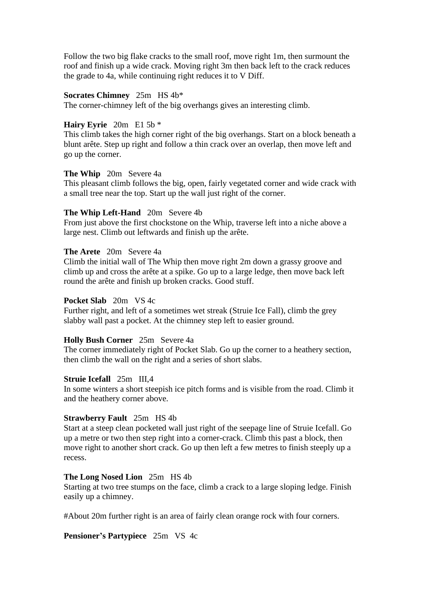Follow the two big flake cracks to the small roof, move right 1m, then surmount the roof and finish up a wide crack. Moving right 3m then back left to the crack reduces the grade to 4a, while continuing right reduces it to V Diff.

#### **Socrates Chimney** 25m HS 4b\*

The corner-chimney left of the big overhangs gives an interesting climb.

## **Hairy Eyrie** 20m E1 5b \*

This climb takes the high corner right of the big overhangs. Start on a block beneath a blunt arête. Step up right and follow a thin crack over an overlap, then move left and go up the corner.

#### **The Whip** 20m Severe 4a

This pleasant climb follows the big, open, fairly vegetated corner and wide crack with a small tree near the top. Start up the wall just right of the corner.

### **The Whip Left-Hand** 20m Severe 4b

From just above the first chockstone on the Whip, traverse left into a niche above a large nest. Climb out leftwards and finish up the arête.

## **The Arete** 20m Severe 4a

Climb the initial wall of The Whip then move right 2m down a grassy groove and climb up and cross the arête at a spike. Go up to a large ledge, then move back left round the arête and finish up broken cracks. Good stuff.

#### **Pocket Slab** 20m VS 4c

Further right, and left of a sometimes wet streak (Struie Ice Fall), climb the grey slabby wall past a pocket. At the chimney step left to easier ground.

#### **Holly Bush Corner** 25m Severe 4a

The corner immediately right of Pocket Slab. Go up the corner to a heathery section, then climb the wall on the right and a series of short slabs.

#### **Struie Icefall** 25m III,4

In some winters a short steepish ice pitch forms and is visible from the road. Climb it and the heathery corner above.

#### **Strawberry Fault** 25m HS 4b

Start at a steep clean pocketed wall just right of the seepage line of Struie Icefall. Go up a metre or two then step right into a corner-crack. Climb this past a block, then move right to another short crack. Go up then left a few metres to finish steeply up a recess.

### **The Long Nosed Lion** 25m HS 4b

Starting at two tree stumps on the face, climb a crack to a large sloping ledge. Finish easily up a chimney.

#About 20m further right is an area of fairly clean orange rock with four corners.

#### **Pensioner's Partypiece** 25m VS 4c